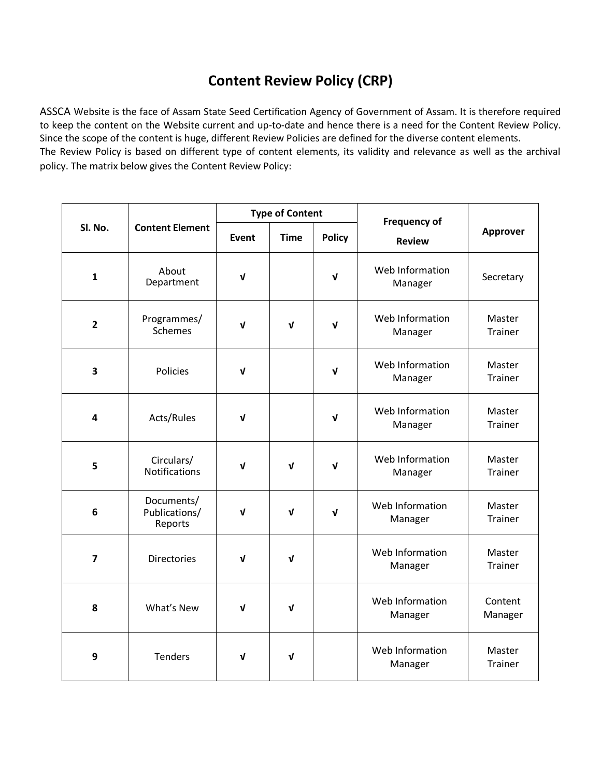## **Content Review Policy (CRP)**

ASSCA Website is the face of Assam State Seed Certification Agency of Government of Assam. It is therefore required to keep the content on the Website current and up-to-date and hence there is a need for the Content Review Policy. Since the scope of the content is huge, different Review Policies are defined for the diverse content elements. The Review Policy is based on different type of content elements, its validity and relevance as well as the archival policy. The matrix below gives the Content Review Policy:

| SI. No.                 | <b>Content Element</b>                 | <b>Type of Content</b> |              |               | <b>Frequency of</b>        |                          |
|-------------------------|----------------------------------------|------------------------|--------------|---------------|----------------------------|--------------------------|
|                         |                                        | Event                  | <b>Time</b>  | <b>Policy</b> | <b>Review</b>              | <b>Approver</b>          |
| $\mathbf{1}$            | About<br>Department                    | $\mathbf{v}$           |              | V             | Web Information<br>Manager | Secretary                |
| $\overline{2}$          | Programmes/<br>Schemes                 | $\mathbf{v}$           | $\mathbf{v}$ | $\mathbf{v}$  | Web Information<br>Manager | Master<br>Trainer        |
| 3                       | <b>Policies</b>                        | $\mathbf{v}$           |              | ν             | Web Information<br>Manager | Master<br><b>Trainer</b> |
| 4                       | Acts/Rules                             | $\mathbf{v}$           |              | V             | Web Information<br>Manager | Master<br>Trainer        |
| 5                       | Circulars/<br><b>Notifications</b>     | $\mathbf v$            | $\mathbf v$  | $\mathbf v$   | Web Information<br>Manager | Master<br>Trainer        |
| 6                       | Documents/<br>Publications/<br>Reports | $\mathbf v$            | V            | V             | Web Information<br>Manager | Master<br>Trainer        |
| $\overline{\mathbf{z}}$ | <b>Directories</b>                     | $\mathbf v$            | $\mathbf v$  |               | Web Information<br>Manager | Master<br>Trainer        |
| 8                       | What's New                             | $\mathbf v$            | V            |               | Web Information<br>Manager | Content<br>Manager       |
| 9                       | <b>Tenders</b>                         | $\mathbf{V}$           | $\sqrt{ }$   |               | Web Information<br>Manager | Master<br>Trainer        |